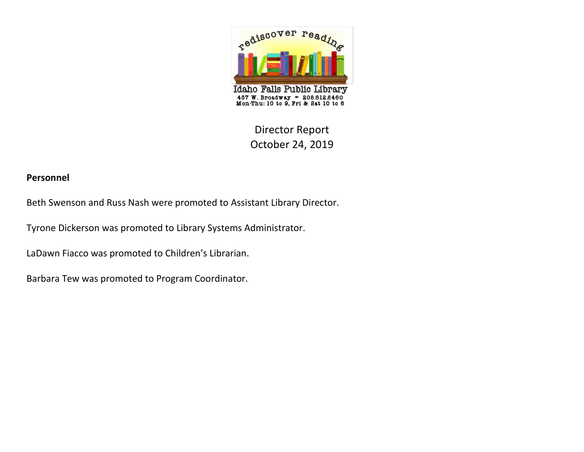

# Director Report October 24, 2019

#### **Personnel**

Beth Swenson and Russ Nash were promoted to Assistant Library Director.

Tyrone Dickerson was promoted to Library Systems Administrator.

LaDawn Fiacco was promoted to Children's Librarian.

Barbara Tew was promoted to Program Coordinator.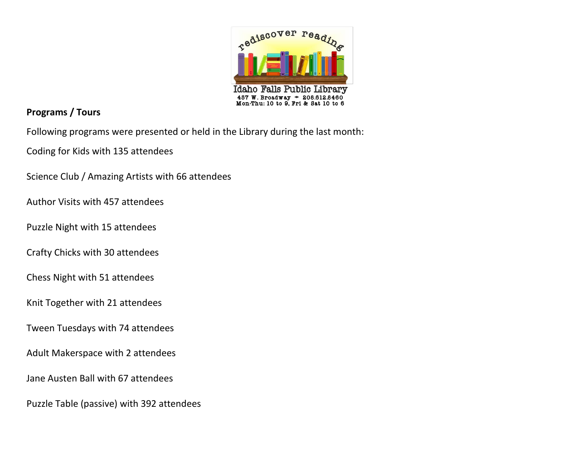

## **Programs / Tours**

Following programs were presented or held in the Library during the last month:

Coding for Kids with 135 attendees

Science Club / Amazing Artists with 66 attendees

Author Visits with 457 attendees

Puzzle Night with 15 attendees

Crafty Chicks with 30 attendees

Chess Night with 51 attendees

Knit Together with 21 attendees

Tween Tuesdays with 74 attendees

Adult Makerspace with 2 attendees

Jane Austen Ball with 67 attendees

Puzzle Table (passive) with 392 attendees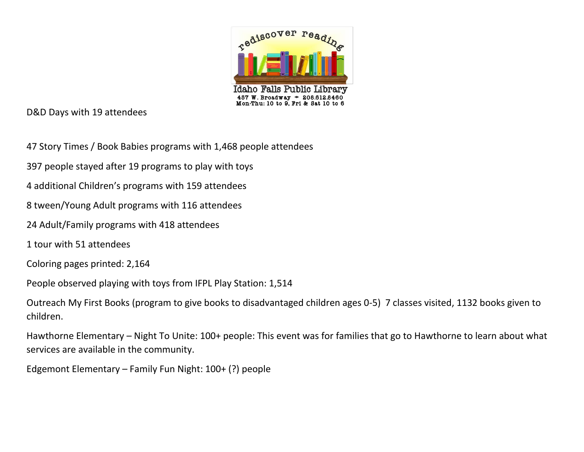

D&D Days with 19 attendees

- 47 Story Times / Book Babies programs with 1,468 people attendees
- 397 people stayed after 19 programs to play with toys
- 4 additional Children's programs with 159 attendees
- 8 tween/Young Adult programs with 116 attendees
- 24 Adult/Family programs with 418 attendees
- 1 tour with 51 attendees
- Coloring pages printed: 2,164
- People observed playing with toys from IFPL Play Station: 1,514
- Outreach My First Books (program to give books to disadvantaged children ages 0-5) 7 classes visited, 1132 books given to children.
- Hawthorne Elementary Night To Unite: 100+ people: This event was for families that go to Hawthorne to learn about what services are available in the community.
- Edgemont Elementary Family Fun Night: 100+ (?) people